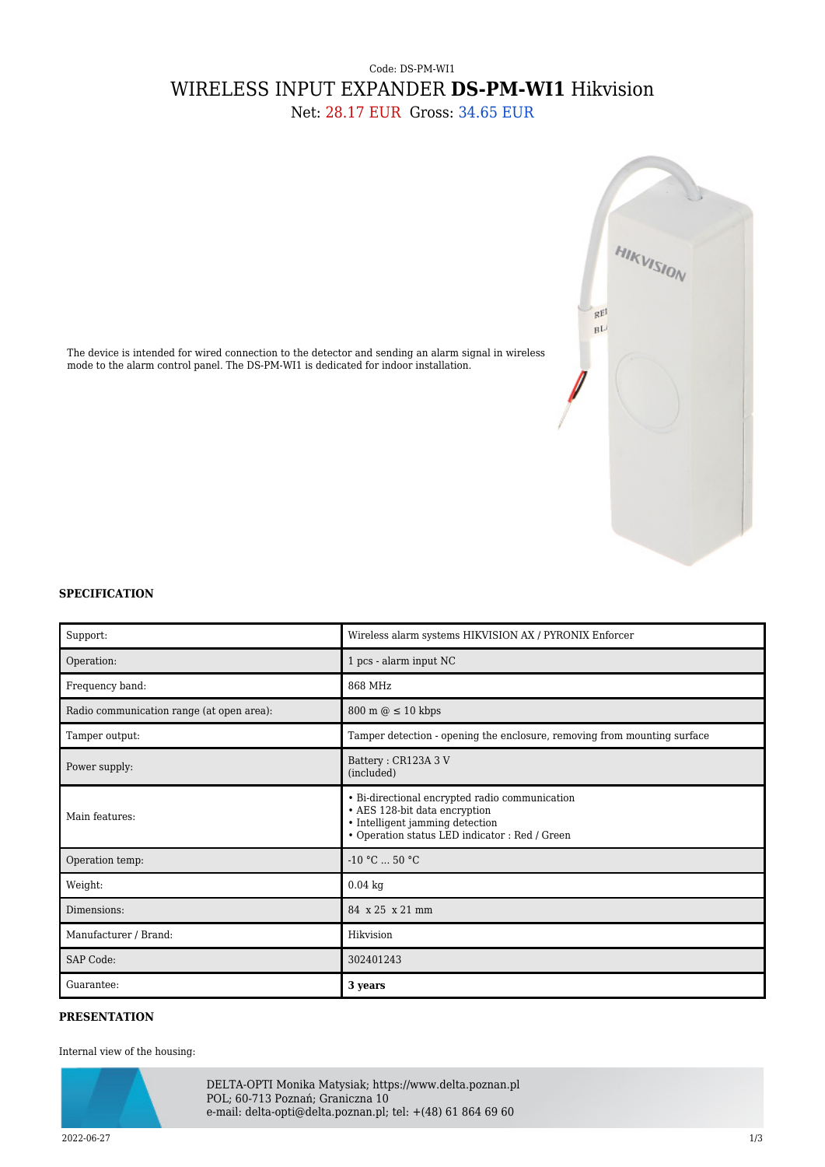## Code: DS-PM-WI1 WIRELESS INPUT EXPANDER **DS-PM-WI1** Hikvision

Net: 28.17 EUR Gross: 34.65 EUR



The device is intended for wired connection to the detector and sending an alarm signal in wireless mode to the alarm control panel. The DS-PM-WI1 is dedicated for indoor installation.

## **SPECIFICATION**

| Support:                                  | Wireless alarm systems HIKVISION AX / PYRONIX Enforcer                                                                                                               |  |
|-------------------------------------------|----------------------------------------------------------------------------------------------------------------------------------------------------------------------|--|
| Operation:                                | 1 pcs - alarm input NC                                                                                                                                               |  |
| Frequency band:                           | 868 MHz                                                                                                                                                              |  |
| Radio communication range (at open area): | $800 \text{ m} \odot \leq 10 \text{ kbps}$                                                                                                                           |  |
| Tamper output:                            | Tamper detection - opening the enclosure, removing from mounting surface                                                                                             |  |
| Power supply:                             | Battery: CR123A 3 V<br>(included)                                                                                                                                    |  |
| Main features:                            | • Bi-directional encrypted radio communication<br>• AES 128-bit data encryption<br>• Intelligent jamming detection<br>· Operation status LED indicator : Red / Green |  |
| Operation temp:                           | $-10 °C$ 50 °C                                                                                                                                                       |  |
| Weight:                                   | $0.04$ kg                                                                                                                                                            |  |
| Dimensions:                               | 84 x 25 x 21 mm                                                                                                                                                      |  |
| Manufacturer / Brand:                     | Hikvision                                                                                                                                                            |  |
| <b>SAP Code:</b>                          | 302401243                                                                                                                                                            |  |
| Guarantee:                                | 3 years                                                                                                                                                              |  |

## **PRESENTATION**

## Internal view of the housing:



DELTA-OPTI Monika Matysiak; https://www.delta.poznan.pl POL; 60-713 Poznań; Graniczna 10 e-mail: delta-opti@delta.poznan.pl; tel: +(48) 61 864 69 60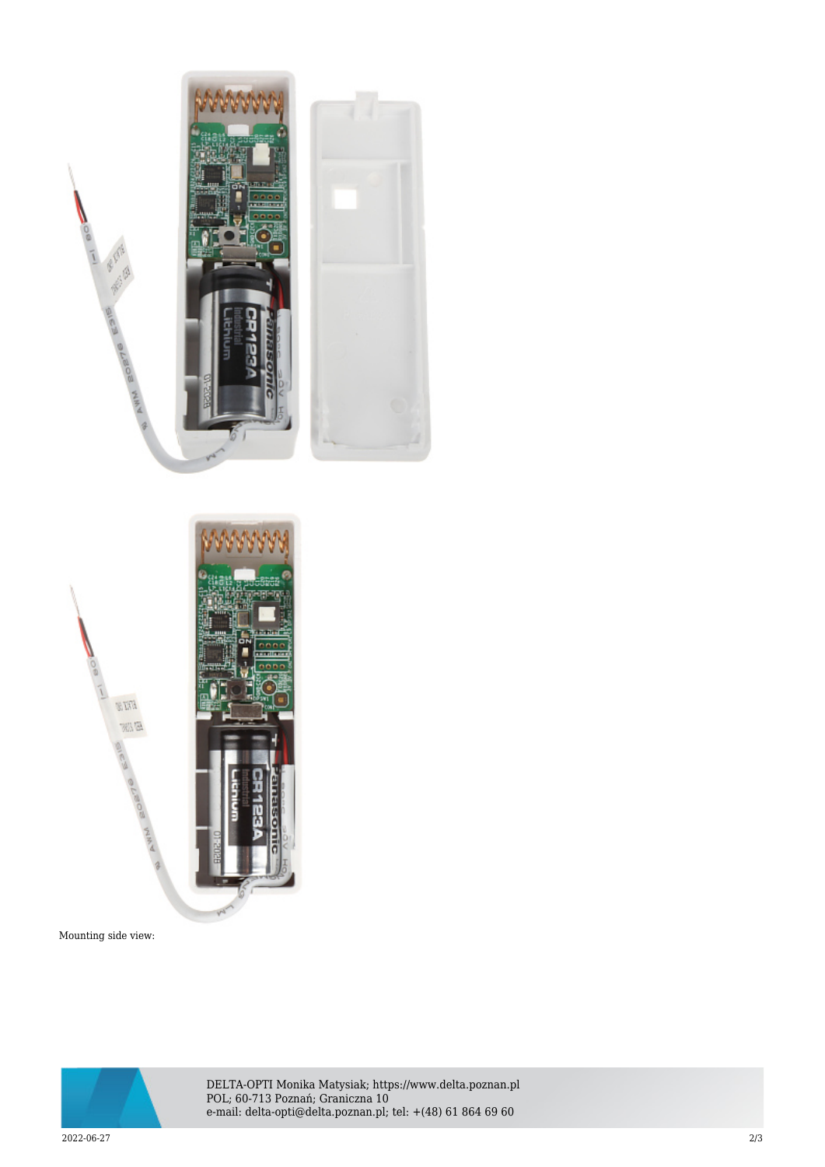



Mounting side view:



DELTA-OPTI Monika Matysiak; https://www.delta.poznan.pl POL; 60-713 Poznań; Graniczna 10 e-mail: delta-opti@delta.poznan.pl; tel: +(48) 61 864 69 60

2022-06-27 2/3